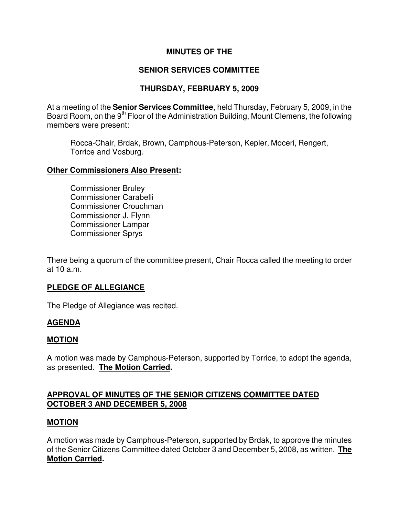## **MINUTES OF THE**

# **SENIOR SERVICES COMMITTEE**

# **THURSDAY, FEBRUARY 5, 2009**

At a meeting of the **Senior Services Committee**, held Thursday, February 5, 2009, in the Board Room, on the 9<sup>th</sup> Floor of the Administration Building, Mount Clemens, the following members were present:

Rocca-Chair, Brdak, Brown, Camphous-Peterson, Kepler, Moceri, Rengert, Torrice and Vosburg.

#### **Other Commissioners Also Present:**

Commissioner Bruley Commissioner Carabelli Commissioner Crouchman Commissioner J. Flynn Commissioner Lampar Commissioner Sprys

There being a quorum of the committee present, Chair Rocca called the meeting to order at 10 a.m.

## **PLEDGE OF ALLEGIANCE**

The Pledge of Allegiance was recited.

## **AGENDA**

## **MOTION**

A motion was made by Camphous-Peterson, supported by Torrice, to adopt the agenda, as presented. **The Motion Carried.** 

# **APPROVAL OF MINUTES OF THE SENIOR CITIZENS COMMITTEE DATED OCTOBER 3 AND DECEMBER 5, 2008**

## **MOTION**

A motion was made by Camphous-Peterson, supported by Brdak, to approve the minutes of the Senior Citizens Committee dated October 3 and December 5, 2008, as written. **The Motion Carried.**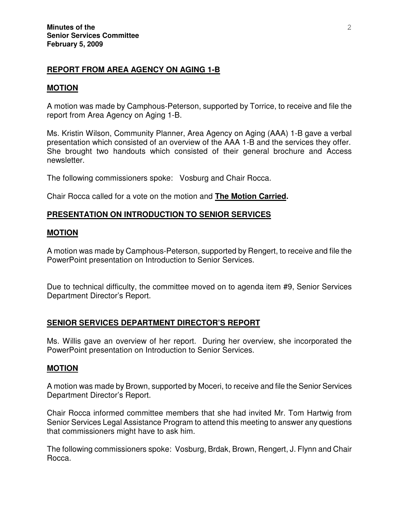## **REPORT FROM AREA AGENCY ON AGING 1-B**

#### **MOTION**

A motion was made by Camphous-Peterson, supported by Torrice, to receive and file the report from Area Agency on Aging 1-B.

Ms. Kristin Wilson, Community Planner, Area Agency on Aging (AAA) 1-B gave a verbal presentation which consisted of an overview of the AAA 1-B and the services they offer. She brought two handouts which consisted of their general brochure and Access newsletter.

The following commissioners spoke: Vosburg and Chair Rocca.

Chair Rocca called for a vote on the motion and **The Motion Carried.** 

### **PRESENTATION ON INTRODUCTION TO SENIOR SERVICES**

#### **MOTION**

A motion was made by Camphous-Peterson, supported by Rengert, to receive and file the PowerPoint presentation on Introduction to Senior Services.

Due to technical difficulty, the committee moved on to agenda item #9, Senior Services Department Director's Report.

#### **SENIOR SERVICES DEPARTMENT DIRECTOR'S REPORT**

Ms. Willis gave an overview of her report. During her overview, she incorporated the PowerPoint presentation on Introduction to Senior Services.

#### **MOTION**

A motion was made by Brown, supported by Moceri, to receive and file the Senior Services Department Director's Report.

Chair Rocca informed committee members that she had invited Mr. Tom Hartwig from Senior Services Legal Assistance Program to attend this meeting to answer any questions that commissioners might have to ask him.

The following commissioners spoke: Vosburg, Brdak, Brown, Rengert, J. Flynn and Chair Rocca.